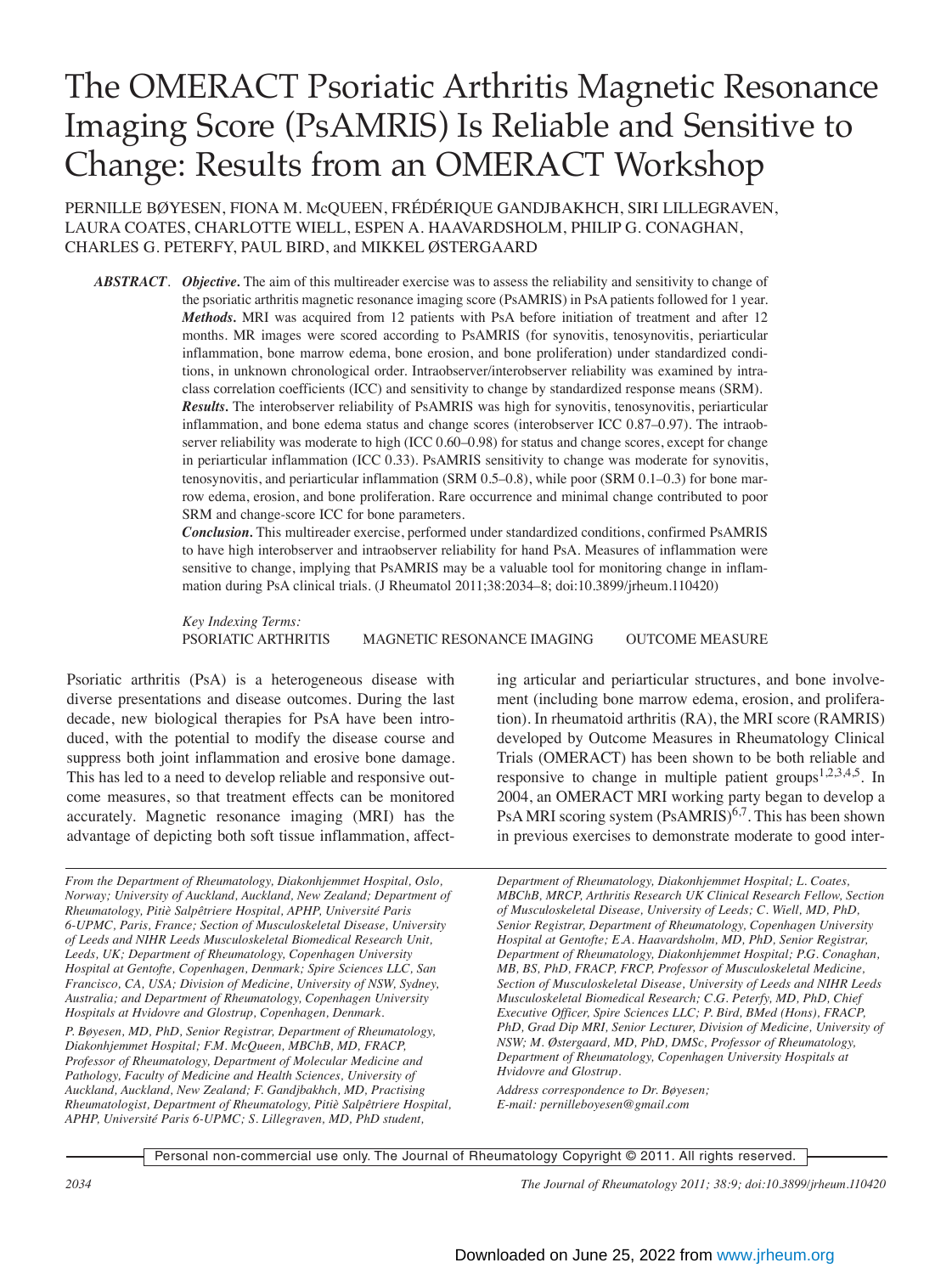# The OMERACT Psoriatic Arthritis Magnetic Resonance Imaging Score (PsAMRIS) Is Reliable and Sensitive to Change: Results from an OMERACT Workshop

PERNILLE BØYESEN, FIONA M. McQUEEN, FRÉDÉRIQUE GANDJBAKHCH, SIRI LILLEGRAVEN, LAURA COATES, CHARLOTTE WIELL, ESPEN A. HAAVARDSHOLM, PHILIP G. CONAGHAN, CHARLES G. PETERFY, PAUL BIRD, and MIKKEL ØSTERGAARD

*ABSTRACT*. *Objective.* The aim of this multireader exercise was to assess the reliability and sensitivity to change of the psoriatic arthritis magnetic resonance imaging score (PsAMRIS) in PsA patients followed for 1 year. *Methods.* MRI was acquired from 12 patients with PsA before initiation of treatment and after 12 months. MR images were scored according to PsAMRIS (for synovitis, tenosynovitis, periarticular inflammation, bone marrow edema, bone erosion, and bone proliferation) under standardized conditions, in unknown chronological order. Intraobserver/interobserver reliability was examined by intraclass correlation coefficients (ICC) and sensitivity to change by standardized response means (SRM). *Results.* The interobserver reliability of PsAMRIS was high for synovitis, tenosynovitis, periarticular inflammation, and bone edema status and change scores (interobserver ICC 0.87–0.97). The intraobserver reliability was moderate to high (ICC 0.60–0.98) for status and change scores, except for change in periarticular inflammation (ICC 0.33). PsAMRIS sensitivity to change was moderate for synovitis, tenosynovitis, and periarticular inflammation (SRM 0.5–0.8), while poor (SRM 0.1–0.3) for bone marrow edema, erosion, and bone proliferation. Rare occurrence and minimal change contributed to poor SRM and change-score ICC for bone parameters.

> *Conclusion.* This multireader exercise, performed under standardized conditions, confirmed PsAMRIS to have high interobserver and intraobserver reliability for hand PsA. Measures of inflammation were sensitive to change, implying that PsAMRIS may be a valuable tool for monitoring change in inflammation during PsA clinical trials. (J Rheumatol 2011;38:2034–8; doi:10.3899/jrheum.110420)

> *Key Indexing Terms:* PSORIATIC ARTHRITIS MAGNETIC RESONANCE IMAGING OUTCOME MEASURE

Psoriatic arthritis (PsA) is a heterogeneous disease with diverse presentations and disease outcomes. During the last decade, new biological therapies for PsA have been introduced, with the potential to modify the disease course and suppress both joint inflammation and erosive bone damage. This has led to a need to develop reliable and responsive outcome measures, so that treatment effects can be monitored accurately. Magnetic resonance imaging (MRI) has the advantage of depicting both soft tissue inflammation, affect-

*From the Department of Rheumatology, Diakonhjemmet Hospital, Oslo, Norway; University of Auckland, Auckland, New Zealand; Department of Rheumatology, Pitiè Salpêtriere Hospital, APHP, Université Paris 6-UPMC, Paris, France; Section of Musculoskeletal Disease, University of Leeds and NIHR Leeds Musculoskeletal Biomedical Research Unit, Leeds, UK; Department of Rheumatology, Copenhagen University Hospital at Gentofte, Copenhagen, Denmark; Spire Sciences LLC, San Francisco, CA, USA; Division of Medicine, University of NSW, Sydney, Australia; and Department of Rheumatology, Copenhagen University Hospitals at Hvidovre and Glostrup, Copenhagen, Denmark.*

*P. Bøyesen, MD, PhD, Senior Registrar, Department of Rheumatology, Diakonhjemmet Hospital; F.M. McQueen, MBChB, MD, FRACP, Professor of Rheumatology, Department of Molecular Medicine and Pathology, Faculty of Medicine and Health Sciences, University of Auckland, Auckland, New Zealand; F. Gandjbakhch, MD, Practising Rheumatologist, Department of Rheumatology, Pitiè Salpêtriere Hospital, APHP, Université Paris 6-UPMC; S. Lillegraven, MD, PhD student,*

ing articular and periarticular structures, and bone involvement (including bone marrow edema, erosion, and proliferation). In rheumatoid arthritis (RA), the MRI score (RAMRIS) developed by Outcome Measures in Rheumatology Clinical Trials (OMERACT) has been shown to be both reliable and responsive to change in multiple patient groups<sup>1,2,3,4,5</sup>. In 2004, an OMERACT MRI working party began to develop a PsA MRI scoring system (PsAMRIS)<sup>6,7</sup>. This has been shown in previous exercises to demonstrate moderate to good inter-

*Department of Rheumatology, Diakonhjemmet Hospital; L. Coates, MBChB, MRCP, Arthritis Research UK Clinical Research Fellow, Section of Musculoskeletal Disease, University of Leeds; C. Wiell, MD, PhD, Senior Registrar, Department of Rheumatology, Copenhagen University Hospital at Gentofte; E.A. Haavardsholm, MD, PhD, Senior Registrar, Department of Rheumatology, Diakonhjemmet Hospital; P.G. Conaghan, MB, BS, PhD, FRACP, FRCP, Professor of Musculoskeletal Medicine, Section of Musculoskeletal Disease, University of Leeds and NIHR Leeds Musculoskeletal Biomedical Research; C.G. Peterfy, MD, PhD, Chief Executive Officer, Spire Sciences LLC; P. Bird, BMed (Hons), FRACP, PhD, Grad Dip MRI, Senior Lecturer, Division of Medicine, University of NSW; M. Østergaard, MD, PhD, DMSc, Professor of Rheumatology, Department of Rheumatology, Copenhagen University Hospitals at Hvidovre and Glostrup.*

*Address correspondence to Dr. Bøyesen; E-mail: pernilleboyesen@gmail.com*

Personal non-commercial use only. The Journal of Rheumatology Copyright © 2011. All rights reserved.

*2034 The Journal of Rheumatology 2011; 38:9; doi:10.3899/jrheum.110420*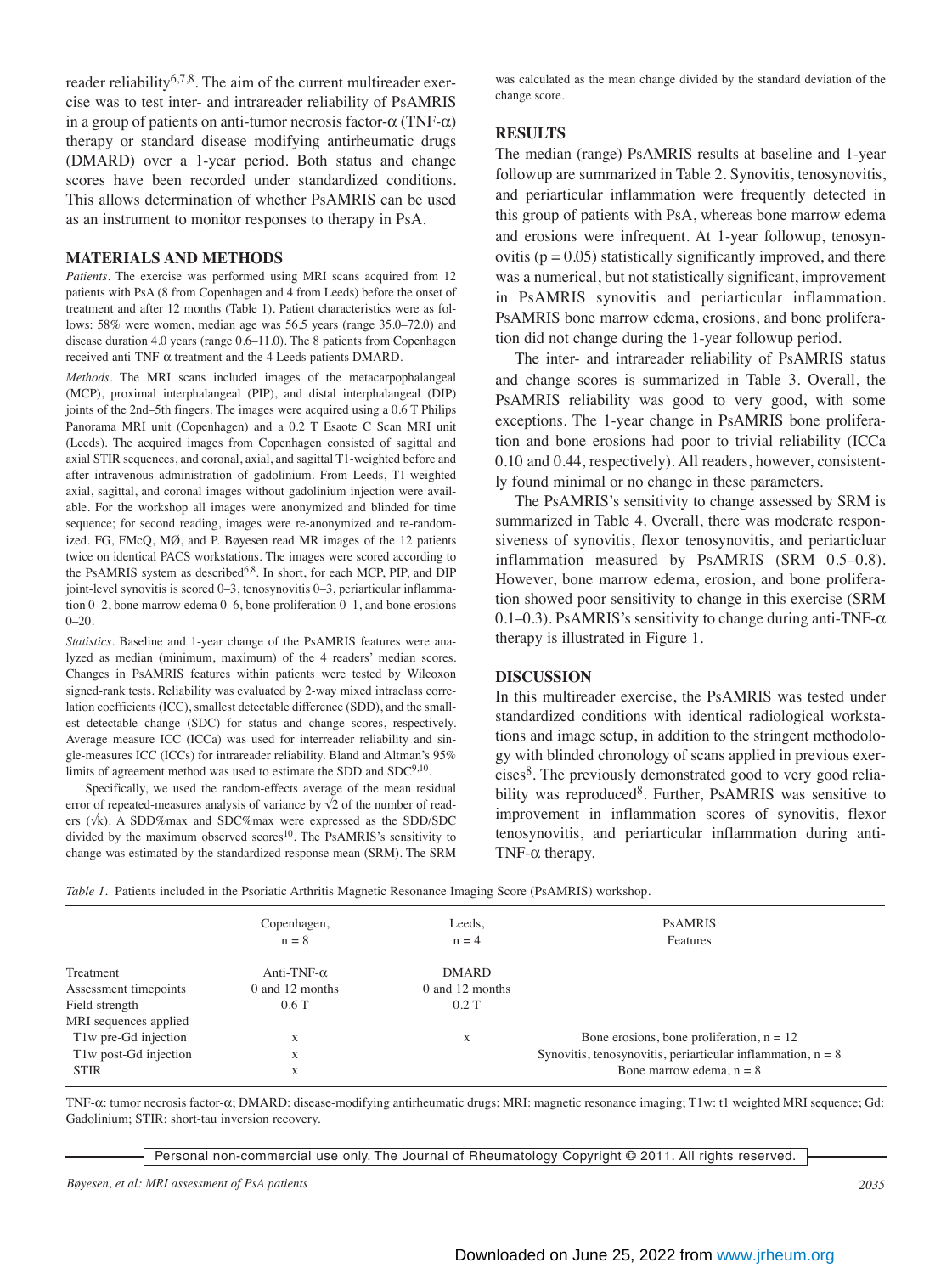reader reliability<sup>6,7,8</sup>. The aim of the current multireader exercise was to test inter- and intrareader reliability of PsAMRIS in a group of patients on anti-tumor necrosis factor- $\alpha$  (TNF- $\alpha$ ) therapy or standard disease modifying antirheumatic drugs (DMARD) over a 1-year period. Both status and change scores have been recorded under standardized conditions. This allows determination of whether PsAMRIS can be used as an instrument to monitor responses to therapy in PsA.

#### **MATERIALS AND METHODS**

*Patients*. The exercise was performed using MRI scans acquired from 12 patients with PsA (8 from Copenhagen and 4 from Leeds) before the onset of treatment and after 12 months (Table 1). Patient characteristics were as follows: 58% were women, median age was 56.5 years (range 35.0–72.0) and disease duration 4.0 years (range 0.6–11.0). The 8 patients from Copenhagen received anti-TNF-α treatment and the 4 Leeds patients DMARD.

*Methods*. The MRI scans included images of the metacarpophalangeal (MCP), proximal interphalangeal (PIP), and distal interphalangeal (DIP) joints of the 2nd–5th fingers. The images were acquired using a 0.6 T Philips Panorama MRI unit (Copenhagen) and a 0.2 T Esaote C Scan MRI unit (Leeds). The acquired images from Copenhagen consisted of sagittal and axial STIR sequences, and coronal, axial, and sagittal T1-weighted before and after intravenous administration of gadolinium. From Leeds, T1-weighted axial, sagittal, and coronal images without gadolinium injection were available. For the workshop all images were anonymized and blinded for time sequence; for second reading, images were re-anonymized and re-randomized. FG, FMcQ, MØ, and P. Bøyesen read MR images of the 12 patients twice on identical PACS workstations. The images were scored according to the PsAMRIS system as described<sup>6,8</sup>. In short, for each MCP, PIP, and DIP joint-level synovitis is scored 0–3, tenosynovitis 0–3, periarticular inflammation 0–2, bone marrow edema 0–6, bone proliferation 0–1, and bone erosions 0–20.

*Statistics*. Baseline and 1-year change of the PsAMRIS features were analyzed as median (minimum, maximum) of the 4 readers' median scores. Changes in PsAMRIS features within patients were tested by Wilcoxon signed-rank tests. Reliability was evaluated by 2-way mixed intraclass correlation coefficients (ICC), smallest detectable difference (SDD), and the smallest detectable change (SDC) for status and change scores, respectively. Average measure ICC (ICCa) was used for interreader reliability and single-measures ICC (ICCs) for intrareader reliability. Bland and Altman's 95% limits of agreement method was used to estimate the SDD and  $SDC<sup>9,10</sup>$ .

Specifically, we used the random-effects average of the mean residual error of repeated-measures analysis of variance by  $\sqrt{2}$  of the number of readers (√k). A SDD%max and SDC%max were expressed as the SDD/SDC divided by the maximum observed scores<sup>10</sup>. The PsAMRIS's sensitivity to change was estimated by the standardized response mean (SRM). The SRM was calculated as the mean change divided by the standard deviation of the change score.

## **RESULTS**

The median (range) PsAMRIS results at baseline and 1-year followup are summarized in Table 2. Synovitis, tenosynovitis, and periarticular inflammation were frequently detected in this group of patients with PsA, whereas bone marrow edema and erosions were infrequent. At 1-year followup, tenosynovitis ( $p = 0.05$ ) statistically significantly improved, and there was a numerical, but not statistically significant, improvement in PsAMRIS synovitis and periarticular inflammation. PsAMRIS bone marrow edema, erosions, and bone proliferation did not change during the 1-year followup period.

The inter- and intrareader reliability of PsAMRIS status and change scores is summarized in Table 3. Overall, the PsAMRIS reliability was good to very good, with some exceptions. The 1-year change in PsAMRIS bone proliferation and bone erosions had poor to trivial reliability (ICCa 0.10 and 0.44, respectively). All readers, however, consistently found minimal or no change in these parameters.

The PsAMRIS's sensitivity to change assessed by SRM is summarized in Table 4. Overall, there was moderate responsiveness of synovitis, flexor tenosynovitis, and periarticluar inflammation measured by PsAMRIS (SRM 0.5–0.8). However, bone marrow edema, erosion, and bone proliferation showed poor sensitivity to change in this exercise (SRM 0.1–0.3). PsAMRIS's sensitivity to change during anti-TNF- $\alpha$ therapy is illustrated in Figure 1.

## **DISCUSSION**

In this multireader exercise, the PsAMRIS was tested under standardized conditions with identical radiological workstations and image setup, in addition to the stringent methodology with blinded chronology of scans applied in previous exercises<sup>8</sup>. The previously demonstrated good to very good reliability was reproduced<sup>8</sup>. Further, PsAMRIS was sensitive to improvement in inflammation scores of synovitis, flexor tenosynovitis, and periarticular inflammation during anti-TNF-α therapy.

*Table 1.* Patients included in the Psoriatic Arthritis Magnetic Resonance Imaging Score (PsAMRIS) workshop.

|                       | Copenhagen,<br>$n = 8$ | Leeds,<br>$n = 4$ | <b>PSAMRIS</b><br>Features                                    |
|-----------------------|------------------------|-------------------|---------------------------------------------------------------|
| Treatment             | Anti-TNF- $\alpha$     | <b>DMARD</b>      |                                                               |
| Assessment timepoints | 0 and 12 months        | $0$ and 12 months |                                                               |
| Field strength        | 0.6T                   | $0.2$ T           |                                                               |
| MRI sequences applied |                        |                   |                                                               |
| T1w pre-Gd injection  | X                      | X                 | Bone erosions, bone proliferation, $n = 12$                   |
| T1w post-Gd injection | X                      |                   | Synovitis, tenosynovitis, periarticular inflammation, $n = 8$ |
| <b>STIR</b>           | X                      |                   | Bone marrow edema, $n = 8$                                    |

TNF-α: tumor necrosis factor-α; DMARD: disease-modifying antirheumatic drugs; MRI: magnetic resonance imaging; T1w: t1 weighted MRI sequence; Gd: Gadolinium; STIR: short-tau inversion recovery.

|  |  |  |  |  |  |  | Personal non-commercial use only. The Journal of Rheumatology Copyright © 2011. All rights reserved. |  |
|--|--|--|--|--|--|--|------------------------------------------------------------------------------------------------------|--|
|--|--|--|--|--|--|--|------------------------------------------------------------------------------------------------------|--|

*Bøyesen, et al: MRI assessment of PsA patients 2035*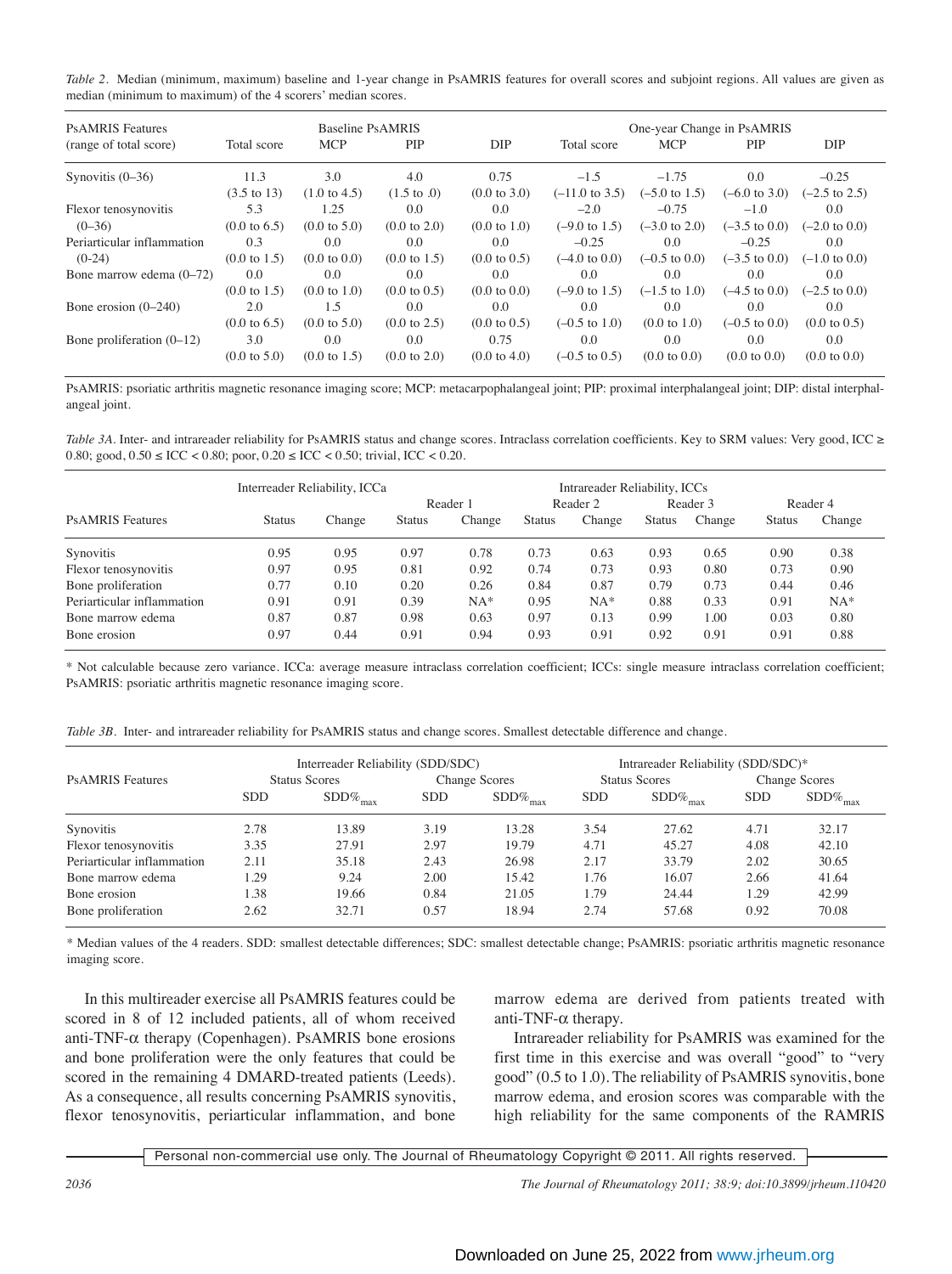*Table 2.* Median (minimum, maximum) baseline and 1-year change in PsAMRIS features for overall scores and subjoint regions. All values are given as median (minimum to maximum) of the 4 scorers' median scores.

| <b>PsAMRIS</b> Features     | <b>Baseline PsAMRIS</b> |                         |                         |                         | One-year Change in PsAMRIS |                          |                          |                          |  |
|-----------------------------|-------------------------|-------------------------|-------------------------|-------------------------|----------------------------|--------------------------|--------------------------|--------------------------|--|
| (range of total score)      | Total score             | <b>MCP</b>              | <b>PIP</b>              | DIP                     | Total score                | <b>MCP</b>               | <b>PIP</b>               | <b>DIP</b>               |  |
| Synovitis $(0-36)$          | 11.3                    | 3.0                     | 4.0                     | 0.75                    | $-1.5$                     | $-1.75$                  | 0.0                      | $-0.25$                  |  |
|                             | $(3.5 \text{ to } 13)$  | $(1.0 \text{ to } 4.5)$ | $(1.5 \text{ to } 0)$   | $(0.0 \text{ to } 3.0)$ | $(-11.0 \text{ to } 3.5)$  | $(-5.0 \text{ to } 1.5)$ | $(-6.0 \text{ to } 3.0)$ | $(-2.5 \text{ to } 2.5)$ |  |
| Flexor tenosynovitis        | 5.3                     | 1.25                    | 0.0                     | 0.0                     | $-2.0$                     | $-0.75$                  | $-1.0$                   | 0.0                      |  |
| $(0-36)$                    | $(0.0 \text{ to } 6.5)$ | $(0.0 \text{ to } 5.0)$ | $(0.0 \text{ to } 2.0)$ | $(0.0 \text{ to } 1.0)$ | $(-9.0 \text{ to } 1.5)$   | $(-3.0 \text{ to } 2.0)$ | $(-3.5 \text{ to } 0.0)$ | $(-2.0 \text{ to } 0.0)$ |  |
| Periarticular inflammation  | 0.3                     | $0.0^{\circ}$           | 0.0                     | 0.0                     | $-0.25$                    | 0.0                      | $-0.25$                  | 0.0                      |  |
| $(0-24)$                    | $(0.0 \text{ to } 1.5)$ | $(0.0 \text{ to } 0.0)$ | $(0.0 \text{ to } 1.5)$ | $(0.0 \text{ to } 0.5)$ | $(-4.0 \text{ to } 0.0)$   | $(-0.5 \text{ to } 0.0)$ | $(-3.5 \text{ to } 0.0)$ | $(-1.0 \text{ to } 0.0)$ |  |
| Bone marrow edema $(0-72)$  | 0.0                     | 0.0                     | 0.0                     | 0.0                     | 0.0                        | 0.0                      | $0.0^{\circ}$            | 0.0                      |  |
|                             | $(0.0 \text{ to } 1.5)$ | $(0.0 \text{ to } 1.0)$ | $(0.0 \text{ to } 0.5)$ | $(0.0 \text{ to } 0.0)$ | $(-9.0 \text{ to } 1.5)$   | $(-1.5 \text{ to } 1.0)$ | $(-4.5 \text{ to } 0.0)$ | $(-2.5 \text{ to } 0.0)$ |  |
| Bone erosion $(0-240)$      | 2.0                     | 1.5                     | 0.0                     | 0.0                     | 0.0                        | 0.0                      | 0.0                      | 0.0                      |  |
|                             | $(0.0 \text{ to } 6.5)$ | $(0.0 \text{ to } 5.0)$ | $(0.0 \text{ to } 2.5)$ | $(0.0 \text{ to } 0.5)$ | $(-0.5 \text{ to } 1.0)$   | $(0.0 \text{ to } 1.0)$  | $(-0.5 \text{ to } 0.0)$ | $(0.0 \text{ to } 0.5)$  |  |
| Bone proliferation $(0-12)$ | 3.0                     | 0.0                     | 0.0                     | 0.75                    | 0.0                        | 0.0                      | 0.0                      | 0.0                      |  |
|                             | $(0.0 \text{ to } 5.0)$ | $(0.0 \text{ to } 1.5)$ | $(0.0 \text{ to } 2.0)$ | $(0.0 \text{ to } 4.0)$ | $(-0.5 \text{ to } 0.5)$   | $(0.0 \text{ to } 0.0)$  | $(0.0 \text{ to } 0.0)$  | $(0.0 \text{ to } 0.0)$  |  |

PsAMRIS: psoriatic arthritis magnetic resonance imaging score; MCP: metacarpophalangeal joint; PIP: proximal interphalangeal joint; DIP: distal interphalangeal joint.

Table 3A. Inter- and intrareader reliability for PsAMRIS status and change scores. Intraclass correlation coefficients. Key to SRM values: Very good, ICC ≥ 0.80; good,  $0.50 \leq$  ICC < 0.80; poor,  $0.20 \leq$  ICC < 0.50; trivial, ICC < 0.20.

|                            | Interreader Reliability, ICCa |        |        |          |               | Intrareader Reliability, ICCs |               |          |               |          |
|----------------------------|-------------------------------|--------|--------|----------|---------------|-------------------------------|---------------|----------|---------------|----------|
|                            |                               |        |        | Reader 1 |               | Reader 2                      |               | Reader 3 |               | Reader 4 |
| <b>PsAMRIS</b> Features    | <b>Status</b>                 | Change | Status | Change   | <b>Status</b> | Change                        | <b>Status</b> | Change   | <b>Status</b> | Change   |
| Synovitis                  | 0.95                          | 0.95   | 0.97   | 0.78     | 0.73          | 0.63                          | 0.93          | 0.65     | 0.90          | 0.38     |
| Flexor tenosynovitis       | 0.97                          | 0.95   | 0.81   | 0.92     | 0.74          | 0.73                          | 0.93          | 0.80     | 0.73          | 0.90     |
| Bone proliferation         | 0.77                          | 0.10   | 0.20   | 0.26     | 0.84          | 0.87                          | 0.79          | 0.73     | 0.44          | 0.46     |
| Periarticular inflammation | 0.91                          | 0.91   | 0.39   | $NA*$    | 0.95          | $NA*$                         | 0.88          | 0.33     | 0.91          | $NA*$    |
| Bone marrow edema          | 0.87                          | 0.87   | 0.98   | 0.63     | 0.97          | 0.13                          | 0.99          | 1.00     | 0.03          | 0.80     |
| Bone erosion               | 0.97                          | 0.44   | 0.91   | 0.94     | 0.93          | 0.91                          | 0.92          | 0.91     | 0.91          | 0.88     |

\* Not calculable because zero variance. ICCa: average measure intraclass correlation coefficient; ICCs: single measure intraclass correlation coefficient; PsAMRIS: psoriatic arthritis magnetic resonance imaging score.

*Table 3B.* Inter- and intrareader reliability for PsAMRIS status and change scores. Smallest detectable difference and change.

|                            |                      | Interreader Reliability (SDD/SDC) |               |               | Intrareader Reliability (SDD/SDC)* |               |                      |               |
|----------------------------|----------------------|-----------------------------------|---------------|---------------|------------------------------------|---------------|----------------------|---------------|
| <b>PsAMRIS</b> Features    | <b>Status Scores</b> |                                   | Change Scores |               | <b>Status Scores</b>               |               | <b>Change Scores</b> |               |
|                            | <b>SDD</b>           | $SDD\%_{max}$                     | <b>SDD</b>    | $SDD\%_{max}$ | <b>SDD</b>                         | $SDD\%_{max}$ | <b>SDD</b>           | $SDD\%_{max}$ |
| Synovitis                  | 2.78                 | 13.89                             | 3.19          | 13.28         | 3.54                               | 27.62         | 4.71                 | 32.17         |
| Flexor tenosynovitis       | 3.35                 | 27.91                             | 2.97          | 19.79         | 4.71                               | 45.27         | 4.08                 | 42.10         |
| Periarticular inflammation | 2.11                 | 35.18                             | 2.43          | 26.98         | 2.17                               | 33.79         | 2.02                 | 30.65         |
| Bone marrow edema          | 29                   | 9.24                              | 2.00          | 15.42         | 1.76                               | 16.07         | 2.66                 | 41.64         |
| Bone erosion               | .38                  | 19.66                             | 0.84          | 21.05         | 1.79                               | 24.44         | 1.29                 | 42.99         |
| Bone proliferation         | 2.62                 | 32.71                             | 0.57          | 18.94         | 2.74                               | 57.68         | 0.92                 | 70.08         |

\* Median values of the 4 readers. SDD: smallest detectable differences; SDC: smallest detectable change; PsAMRIS: psoriatic arthritis magnetic resonance imaging score.

In this multireader exercise all PsAMRIS features could be scored in 8 of 12 included patients, all of whom received anti-TNF-α therapy (Copenhagen). PsAMRIS bone erosions and bone proliferation were the only features that could be scored in the remaining 4 DMARD-treated patients (Leeds). As a consequence, all results concerning PsAMRIS synovitis, flexor tenosynovitis, periarticular inflammation, and bone marrow edema are derived from patients treated with anti-TNF-α therapy.

Intrareader reliability for PsAMRIS was examined for the first time in this exercise and was overall "good" to "very good" (0.5 to 1.0). The reliability of PsAMRIS synovitis, bone marrow edema, and erosion scores was comparable with the high reliability for the same components of the RAMRIS

Personal non-commercial use only. The Journal of Rheumatology Copyright © 2011. All rights reserved.

*2036 The Journal of Rheumatology 2011; 38:9; doi:10.3899/jrheum.110420*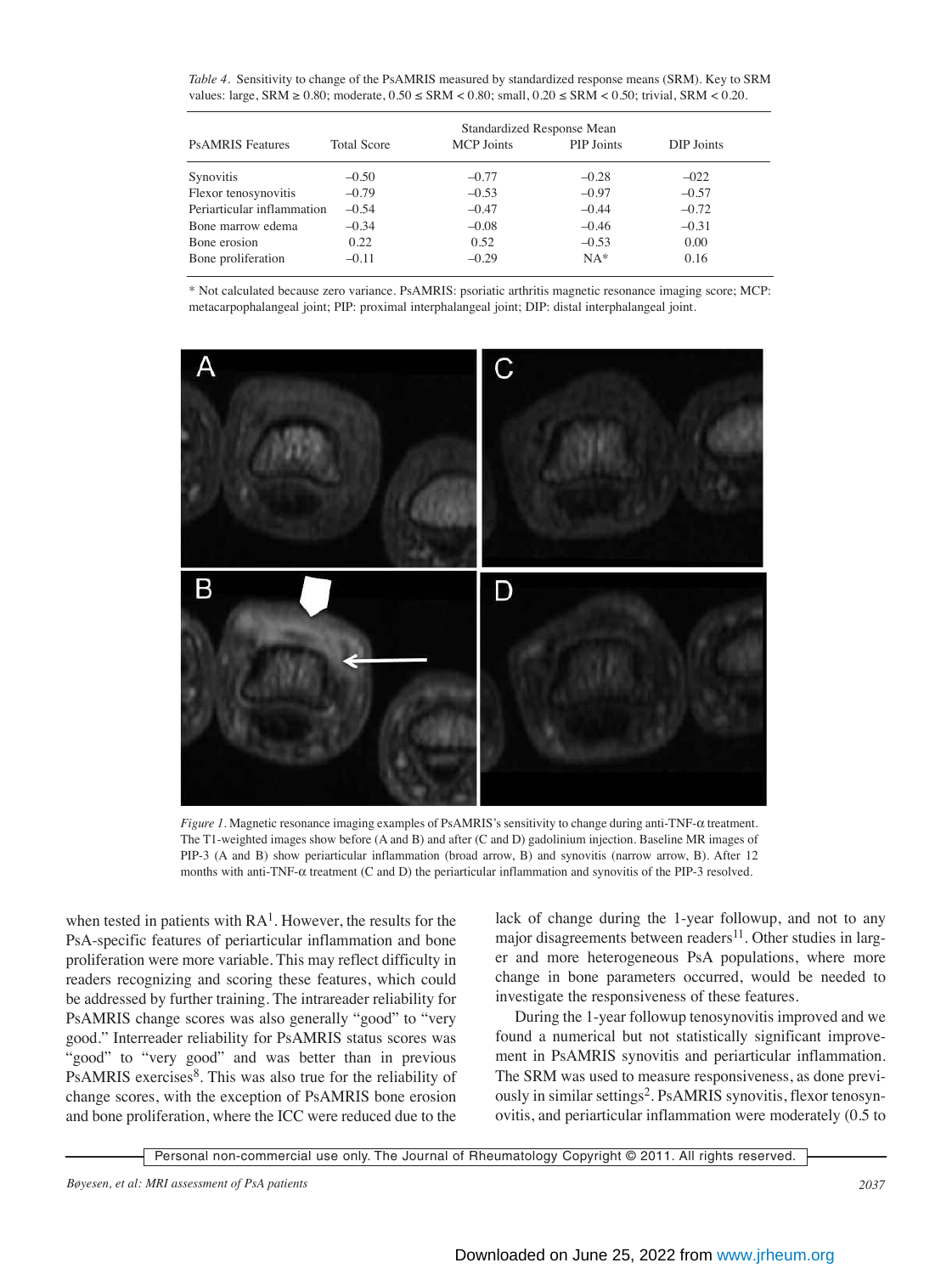*Table 4.* Sensitivity to change of the PsAMRIS measured by standardized response means (SRM). Key to SRM values: large, SRM  $\geq 0.80$ ; moderate,  $0.50 \leq$  SRM  $< 0.80$ ; small,  $0.20 \leq$  SRM  $< 0.50$ ; trivial, SRM  $< 0.20$ .

|                            | Standardized Response Mean |                   |            |            |  |  |
|----------------------------|----------------------------|-------------------|------------|------------|--|--|
| <b>PsAMRIS</b> Features    | <b>Total Score</b>         | <b>MCP</b> Joints | PIP Joints | DIP Joints |  |  |
| Synovitis                  | $-0.50$                    | $-0.77$           | $-0.28$    | $-022$     |  |  |
| Flexor tenosynovitis       | $-0.79$                    | $-0.53$           | $-0.97$    | $-0.57$    |  |  |
| Periarticular inflammation | $-0.54$                    | $-0.47$           | $-0.44$    | $-0.72$    |  |  |
| Bone marrow edema          | $-0.34$                    | $-0.08$           | $-0.46$    | $-0.31$    |  |  |
| Bone erosion               | 0.22                       | 0.52              | $-0.53$    | 0.00       |  |  |
| Bone proliferation         | $-0.11$                    | $-0.29$           | $NA*$      | 0.16       |  |  |

\* Not calculated because zero variance. PsAMRIS: psoriatic arthritis magnetic resonance imaging score; MCP: metacarpophalangeal joint; PIP: proximal interphalangeal joint; DIP: distal interphalangeal joint.



*Figure 1.* Magnetic resonance imaging examples of PsAMRIS's sensitivity to change during anti-TNF-α treatment. The T1-weighted images show before (A and B) and after (C and D) gadolinium injection. Baseline MR images of PIP-3 (A and B) show periarticular inflammation (broad arrow, B) and synovitis (narrow arrow, B). After 12 months with anti-TNF-α treatment (C and D) the periarticular inflammation and synovitis of the PIP-3 resolved.

when tested in patients with  $RA<sup>1</sup>$ . However, the results for the PsA-specific features of periarticular inflammation and bone proliferation were more variable. This may reflect difficulty in readers recognizing and scoring these features, which could be addressed by further training. The intrareader reliability for PsAMRIS change scores was also generally "good" to "very good." Interreader reliability for PsAMRIS status scores was "good" to "very good" and was better than in previous PsAMRIS exercises<sup>8</sup>. This was also true for the reliability of change scores, with the exception of PsAMRIS bone erosion and bone proliferation, where the ICC were reduced due to the

lack of change during the 1-year followup, and not to any major disagreements between readers<sup>11</sup>. Other studies in larger and more heterogeneous PsA populations, where more change in bone parameters occurred, would be needed to investigate the responsiveness of these features.

During the 1-year followup tenosynovitis improved and we found a numerical but not statistically significant improvement in PsAMRIS synovitis and periarticular inflammation. The SRM was used to measure responsiveness, as done previously in similar settings<sup>2</sup>. PsAMRIS synovitis, flexor tenosynovitis, and periarticular inflammation were moderately (0.5 to

Personal non-commercial use only. The Journal of Rheumatology Copyright © 2011. All rights reserved.